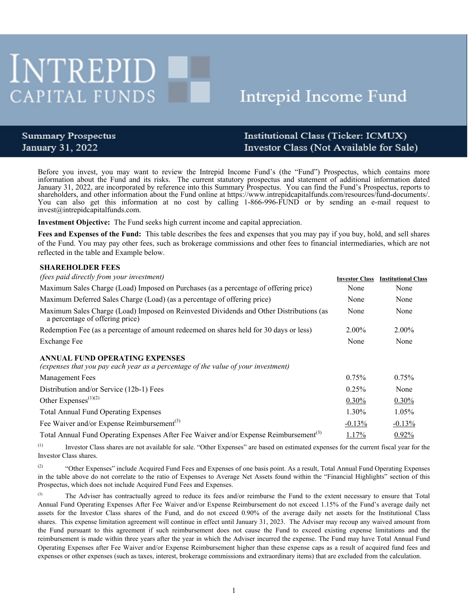# **INTREPID CAPITAL FUNDS**

# Intrepid Income Fund

## **Summary Prospectus** January 31, 2022

# Institutional Class (Ticker: ICMUX) Investor Class (Not Available for Sale)

Before you invest, you may want to review the Intrepid Income Fund's (the "Fund") Prospectus, which contains more information about the Fund and its risks. The current statutory prospectus and statement of additional information dated January 31, 2022, are incorporated by reference into this Summary Prospectus. You can find the Fund's Prospectus, reports to shareholders, and other information about the Fund online at https://www.intrepidcapitalfunds.com/resources/fund-documents/. You can also get this information at no cost by calling 1-866-996-FUND or by sending an e-mail request to invest@intrepidcapitalfunds.com.

**Investment Objective:** The Fund seeks high current income and capital appreciation.

**Fees and Expenses of the Fund:** This table describes the fees and expenses that you may pay if you buy, hold, and sell shares of the Fund. You may pay other fees, such as brokerage commissions and other fees to financial intermediaries, which are not reflected in the table and Example below.

#### **SHAREHOLDER FEES**

| <i>(fees paid directly from your investment)</i>                                                                           | <b>Investor Class</b> | <b>Institutional Class</b> |
|----------------------------------------------------------------------------------------------------------------------------|-----------------------|----------------------------|
| Maximum Sales Charge (Load) Imposed on Purchases (as a percentage of offering price)                                       | None                  | None                       |
| Maximum Deferred Sales Charge (Load) (as a percentage of offering price)                                                   | None                  | None                       |
| Maximum Sales Charge (Load) Imposed on Reinvested Dividends and Other Distributions (as<br>a percentage of offering price) | None                  | None                       |
| Redemption Fee (as a percentage of amount redeemed on shares held for 30 days or less)                                     | $2.00\%$              | $2.00\%$                   |
| <b>Exchange Fee</b>                                                                                                        | None                  | None                       |
| ANNUAL FUND OPERATING EXPENSES<br>(expenses that you pay each year as a percentage of the value of your investment)        |                       |                            |
| <b>Management Fees</b>                                                                                                     | 0.75%                 | 0.75%                      |
| Distribution and/or Service (12b-1) Fees                                                                                   | 0.25%                 | None                       |
| Other Expenses $^{(1)(2)}$                                                                                                 | $0.30\%$              | $0.30\%$                   |
| <b>Total Annual Fund Operating Expenses</b>                                                                                | 1.30%                 | 1.05%                      |
| Fee Waiver and/or Expense Reimbursement <sup>(3)</sup>                                                                     | $-0.13%$              | $-0.13%$                   |
| Total Annual Fund Operating Expenses After Fee Waiver and/or Expense Reimbursement <sup>(3)</sup>                          | 1.17%                 | 0.92%                      |
|                                                                                                                            |                       |                            |

(1) Investor Class shares are not available for sale. "Other Expenses" are based on estimated expenses for the current fiscal year for the Investor Class shares.

<sup>(2)</sup> "Other Expenses" include Acquired Fund Fees and Expenses of one basis point. As a result, Total Annual Fund Operating Expenses in the table above do not correlate to the ratio of Expenses to Average Net Assets found within the "Financial Highlights" section of this Prospectus, which does not include Acquired Fund Fees and Expenses.

<sup>(3)</sup> The Adviser has contractually agreed to reduce its fees and/or reimburse the Fund to the extent necessary to ensure that Total Annual Fund Operating Expenses After Fee Waiver and/or Expense Reimbursement do not exceed 1.15% of the Fund's average daily net assets for the Investor Class shares of the Fund, and do not exceed 0.90% of the average daily net assets for the Institutional Class shares. This expense limitation agreement will continue in effect until January 31, 2023. The Adviser may recoup any waived amount from the Fund pursuant to this agreement if such reimbursement does not cause the Fund to exceed existing expense limitations and the reimbursement is made within three years after the year in which the Adviser incurred the expense. The Fund may have Total Annual Fund Operating Expenses after Fee Waiver and/or Expense Reimbursement higher than these expense caps as a result of acquired fund fees and expenses or other expenses (such as taxes, interest, brokerage commissions and extraordinary items) that are excluded from the calculation.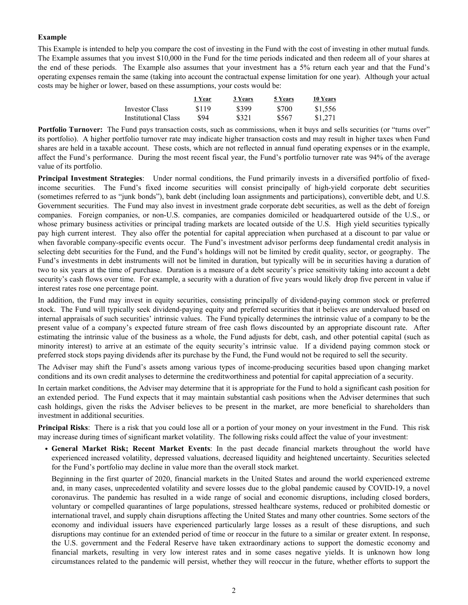#### **Example**

This Example is intended to help you compare the cost of investing in the Fund with the cost of investing in other mutual funds. The Example assumes that you invest \$10,000 in the Fund for the time periods indicated and then redeem all of your shares at the end of these periods. The Example also assumes that your investment has a 5% return each year and that the Fund's operating expenses remain the same (taking into account the contractual expense limitation for one year). Although your actual costs may be higher or lower, based on these assumptions, your costs would be:

|                     | 1 Year | 3 Years | 5 Years | 10 Years |
|---------------------|--------|---------|---------|----------|
| Investor Class      | \$119  | \$399   | \$700   | \$1.556  |
| Institutional Class | \$94   | \$321   | \$567   | \$1,271  |

**Portfolio Turnover:** The Fund pays transaction costs, such as commissions, when it buys and sells securities (or "turns over" its portfolio). A higher portfolio turnover rate may indicate higher transaction costs and may result in higher taxes when Fund shares are held in a taxable account. These costs, which are not reflected in annual fund operating expenses or in the example, affect the Fund's performance. During the most recent fiscal year, the Fund's portfolio turnover rate was 94% of the average value of its portfolio.

**Principal Investment Strategies**: Under normal conditions, the Fund primarily invests in a diversified portfolio of fixedincome securities. The Fund's fixed income securities will consist principally of high-yield corporate debt securities (sometimes referred to as "junk bonds"), bank debt (including loan assignments and participations), convertible debt, and U.S. Government securities. The Fund may also invest in investment grade corporate debt securities, as well as the debt of foreign companies. Foreign companies, or non-U.S. companies, are companies domiciled or headquartered outside of the U.S., or whose primary business activities or principal trading markets are located outside of the U.S. High yield securities typically pay high current interest. They also offer the potential for capital appreciation when purchased at a discount to par value or when favorable company-specific events occur. The Fund's investment advisor performs deep fundamental credit analysis in selecting debt securities for the Fund, and the Fund's holdings will not be limited by credit quality, sector, or geography. The Fund's investments in debt instruments will not be limited in duration, but typically will be in securities having a duration of two to six years at the time of purchase. Duration is a measure of a debt security's price sensitivity taking into account a debt security's cash flows over time. For example, a security with a duration of five years would likely drop five percent in value if interest rates rose one percentage point.

In addition, the Fund may invest in equity securities, consisting principally of dividend-paying common stock or preferred stock. The Fund will typically seek dividend-paying equity and preferred securities that it believes are undervalued based on internal appraisals of such securities' intrinsic values. The Fund typically determines the intrinsic value of a company to be the present value of a company's expected future stream of free cash flows discounted by an appropriate discount rate. After estimating the intrinsic value of the business as a whole, the Fund adjusts for debt, cash, and other potential capital (such as minority interest) to arrive at an estimate of the equity security's intrinsic value. If a dividend paying common stock or preferred stock stops paying dividends after its purchase by the Fund, the Fund would not be required to sell the security.

The Adviser may shift the Fund's assets among various types of income-producing securities based upon changing market conditions and its own credit analyses to determine the creditworthiness and potential for capital appreciation of a security.

In certain market conditions, the Adviser may determine that it is appropriate for the Fund to hold a significant cash position for an extended period. The Fund expects that it may maintain substantial cash positions when the Adviser determines that such cash holdings, given the risks the Adviser believes to be present in the market, are more beneficial to shareholders than investment in additional securities.

**Principal Risks**: There is a risk that you could lose all or a portion of your money on your investment in the Fund. This risk may increase during times of significant market volatility. The following risks could affect the value of your investment:

• **General Market Risk; Recent Market Events**: In the past decade financial markets throughout the world have experienced increased volatility, depressed valuations, decreased liquidity and heightened uncertainty. Securities selected for the Fund's portfolio may decline in value more than the overall stock market.

Beginning in the first quarter of 2020, financial markets in the United States and around the world experienced extreme and, in many cases, unprecedented volatility and severe losses due to the global pandemic caused by COVID-19, a novel coronavirus. The pandemic has resulted in a wide range of social and economic disruptions, including closed borders, voluntary or compelled quarantines of large populations, stressed healthcare systems, reduced or prohibited domestic or international travel, and supply chain disruptions affecting the United States and many other countries. Some sectors of the economy and individual issuers have experienced particularly large losses as a result of these disruptions, and such disruptions may continue for an extended period of time or reoccur in the future to a similar or greater extent. In response, the U.S. government and the Federal Reserve have taken extraordinary actions to support the domestic economy and financial markets, resulting in very low interest rates and in some cases negative yields. It is unknown how long circumstances related to the pandemic will persist, whether they will reoccur in the future, whether efforts to support the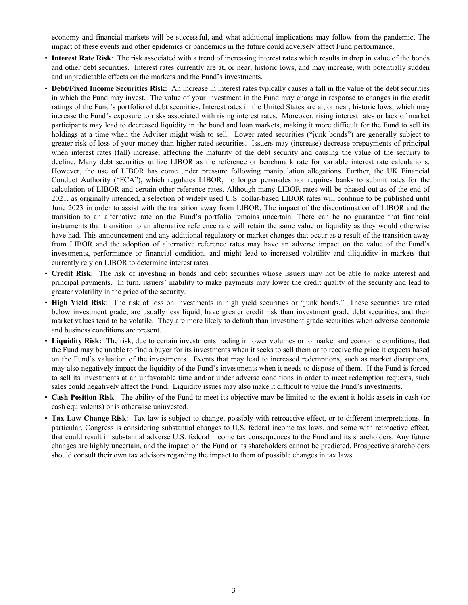economy and financial markets will be successful, and what additional implications may follow from the pandemic. The impact of these events and other epidemics or pandemics in the future could adversely affect Fund performance.

- **Interest Rate Risk**: The risk associated with a trend of increasing interest rates which results in drop in value of the bonds and other debt securities. Interest rates currently are at, or near, historic lows, and may increase, with potentially sudden and unpredictable effects on the markets and the Fund's investments.
- **Debt/Fixed Income Securities Risk:** An increase in interest rates typically causes a fall in the value of the debt securities in which the Fund may invest. The value of your investment in the Fund may change in response to changes in the credit ratings of the Fund's portfolio of debt securities. Interest rates in the United States are at, or near, historic lows, which may increase the Fund's exposure to risks associated with rising interest rates. Moreover, rising interest rates or lack of market participants may lead to decreased liquidity in the bond and loan markets, making it more difficult for the Fund to sell its holdings at a time when the Adviser might wish to sell. Lower rated securities ("junk bonds") are generally subject to greater risk of loss of your money than higher rated securities. Issuers may (increase) decrease prepayments of principal when interest rates (fall) increase, affecting the maturity of the debt security and causing the value of the security to decline. Many debt securities utilize LIBOR as the reference or benchmark rate for variable interest rate calculations. However, the use of LIBOR has come under pressure following manipulation allegations. Further, the UK Financial Conduct Authority ("FCA"), which regulates LIBOR, no longer persuades nor requires banks to submit rates for the calculation of LIBOR and certain other reference rates. Although many LIBOR rates will be phased out as of the end of 2021, as originally intended, a selection of widely used U.S. dollar-based LIBOR rates will continue to be published until June 2023 in order to assist with the transition away from LIBOR. The impact of the discontinuation of LIBOR and the transition to an alternative rate on the Fund's portfolio remains uncertain. There can be no guarantee that financial instruments that transition to an alternative reference rate will retain the same value or liquidity as they would otherwise have had. This announcement and any additional regulatory or market changes that occur as a result of the transition away from LIBOR and the adoption of alternative reference rates may have an adverse impact on the value of the Fund's investments, performance or financial condition, and might lead to increased volatility and illiquidity in markets that currently rely on LIBOR to determine interest rates..
- **Credit Risk**: The risk of investing in bonds and debt securities whose issuers may not be able to make interest and principal payments. In turn, issuers' inability to make payments may lower the credit quality of the security and lead to greater volatility in the price of the security.
- **High Yield Risk**: The risk of loss on investments in high yield securities or "junk bonds." These securities are rated below investment grade, are usually less liquid, have greater credit risk than investment grade debt securities, and their market values tend to be volatile. They are more likely to default than investment grade securities when adverse economic and business conditions are present.
- **Liquidity Risk:** The risk, due to certain investments trading in lower volumes or to market and economic conditions, that the Fund may be unable to find a buyer for its investments when it seeks to sell them or to receive the price it expects based on the Fund's valuation of the investments. Events that may lead to increased redemptions, such as market disruptions, may also negatively impact the liquidity of the Fund's investments when it needs to dispose of them. If the Fund is forced to sell its investments at an unfavorable time and/or under adverse conditions in order to meet redemption requests, such sales could negatively affect the Fund. Liquidity issues may also make it difficult to value the Fund's investments.
- **Cash Position Risk**: The ability of the Fund to meet its objective may be limited to the extent it holds assets in cash (or cash equivalents) or is otherwise uninvested.
- **Tax Law Change Risk**: Tax law is subject to change, possibly with retroactive effect, or to different interpretations. In particular, Congress is considering substantial changes to U.S. federal income tax laws, and some with retroactive effect, that could result in substantial adverse U.S. federal income tax consequences to the Fund and its shareholders. Any future changes are highly uncertain, and the impact on the Fund or its shareholders cannot be predicted. Prospective shareholders should consult their own tax advisors regarding the impact to them of possible changes in tax laws.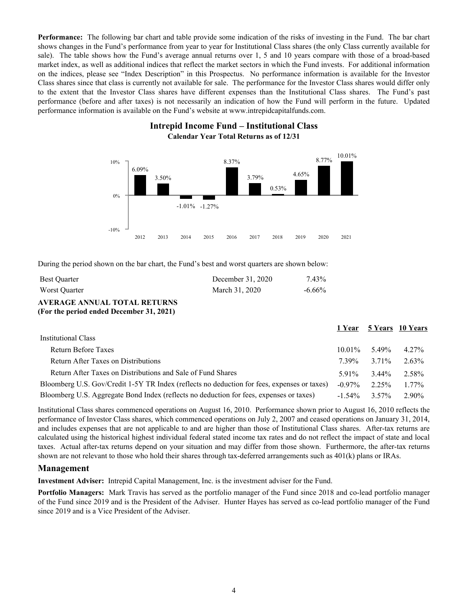**Performance:** The following bar chart and table provide some indication of the risks of investing in the Fund. The bar chart shows changes in the Fund's performance from year to year for Institutional Class shares (the only Class currently available for sale). The table shows how the Fund's average annual returns over 1, 5 and 10 years compare with those of a broad-based market index, as well as additional indices that reflect the market sectors in which the Fund invests. For additional information on the indices, please see "Index Description" in this Prospectus. No performance information is available for the Investor Class shares since that class is currently not available for sale. The performance for the Investor Class shares would differ only to the extent that the Investor Class shares have different expenses than the Institutional Class shares. The Fund's past performance (before and after taxes) is not necessarily an indication of how the Fund will perform in the future. Updated performance information is available on the Fund's website at www.intrepidcapitalfunds.com.



### **Intrepid Income Fund – Institutional Class Calendar Year Total Returns as of 12/31**

During the period shown on the bar chart, the Fund's best and worst quarters are shown below:

| <b>Best Ouarter</b> | December 31, 2020 | 7.43%     |
|---------------------|-------------------|-----------|
| Worst Quarter       | March 31, 2020    | $-6.66\%$ |

**AVERAGE ANNUAL TOTAL RETURNS (For the period ended December 31, 2021)**

|                                                                                             |                   |                     | 1 Year 5 Years 10 Years |
|---------------------------------------------------------------------------------------------|-------------------|---------------------|-------------------------|
| Institutional Class                                                                         |                   |                     |                         |
| Return Before Taxes                                                                         |                   | $10.01\%$ 5.49%     | 4.27%                   |
| Return After Taxes on Distributions                                                         | 7 39%             | 3.71 <sup>o</sup> % | 2.63%                   |
| Return After Taxes on Distributions and Sale of Fund Shares                                 | 5.91 <sup>%</sup> | $3.44\%$            | 2.58%                   |
| Bloomberg U.S. Gov/Credit 1-5Y TR Index (reflects no deduction for fees, expenses or taxes) | $-0.97\%$         | 2.25%               | $1.77\%$                |
| Bloomberg U.S. Aggregate Bond Index (reflects no deduction for fees, expenses or taxes)     | $-1.54\%$         | 3.57%               | 2.90%                   |

Institutional Class shares commenced operations on August 16, 2010. Performance shown prior to August 16, 2010 reflects the performance of Investor Class shares, which commenced operations on July 2, 2007 and ceased operations on January 31, 2014, and includes expenses that are not applicable to and are higher than those of Institutional Class shares. After-tax returns are calculated using the historical highest individual federal stated income tax rates and do not reflect the impact of state and local taxes. Actual after-tax returns depend on your situation and may differ from those shown. Furthermore, the after-tax returns shown are not relevant to those who hold their shares through tax-deferred arrangements such as 401(k) plans or IRAs.

#### **Management**

**Investment Adviser:** Intrepid Capital Management, Inc. is the investment adviser for the Fund.

**Portfolio Managers:** Mark Travis has served as the portfolio manager of the Fund since 2018 and co-lead portfolio manager of the Fund since 2019 and is the President of the Adviser. Hunter Hayes has served as co-lead portfolio manager of the Fund since 2019 and is a Vice President of the Adviser.